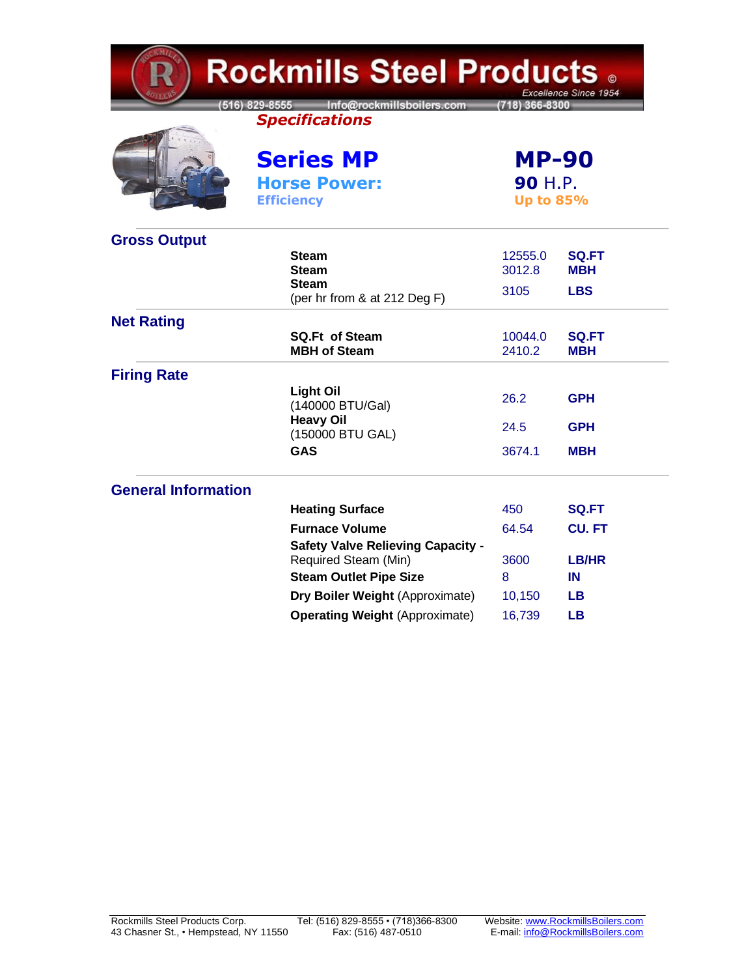| <b>Rockmills Steel Products 。</b><br>Excellence Since 1954 |                                                                                    |                                                    |                            |  |
|------------------------------------------------------------|------------------------------------------------------------------------------------|----------------------------------------------------|----------------------------|--|
|                                                            | 516) 829-8555 Info@rockmillsboilers.com<br>(718) 366-8300<br><b>Specifications</b> |                                                    |                            |  |
|                                                            | <b>Series MP</b>                                                                   | <b>MP-90</b><br><b>90 H.P.</b><br><b>Up to 85%</b> |                            |  |
|                                                            | <b>Horse Power:</b><br><b>Efficiency</b>                                           |                                                    |                            |  |
| <b>Gross Output</b>                                        |                                                                                    |                                                    |                            |  |
|                                                            | <b>Steam</b><br><b>Steam</b>                                                       | 12555.0<br>3012.8                                  | <b>SQ.FT</b><br><b>MBH</b> |  |
|                                                            | <b>Steam</b><br>(per hr from & at 212 Deg F)                                       | 3105                                               | <b>LBS</b>                 |  |
| <b>Net Rating</b>                                          | <b>SQ.Ft of Steam</b>                                                              | 10044.0                                            | <b>SQ.FT</b>               |  |
|                                                            | <b>MBH of Steam</b>                                                                | 2410.2                                             | мвн                        |  |
| <b>Firing Rate</b>                                         |                                                                                    |                                                    |                            |  |
|                                                            | <b>Light Oil</b><br>(140000 BTU/Gal)                                               | 26.2                                               | <b>GPH</b>                 |  |
|                                                            | <b>Heavy Oil</b><br>(150000 BTU GAL)                                               | 24.5                                               | <b>GPH</b>                 |  |
|                                                            | <b>GAS</b>                                                                         | 3674.1                                             | <b>MBH</b>                 |  |
| <b>General Information</b>                                 |                                                                                    |                                                    |                            |  |
|                                                            | <b>Heating Surface</b>                                                             | 450                                                | <b>SQ.FT</b>               |  |
|                                                            | <b>Furnace Volume</b>                                                              | 64.54                                              | <b>CU.FT</b>               |  |
|                                                            | <b>Safety Valve Relieving Capacity -</b><br>Required Steam (Min)                   | 3600                                               | <b>LB/HR</b>               |  |
|                                                            | <b>Steam Outlet Pipe Size</b>                                                      | 8                                                  | IN                         |  |
|                                                            | Dry Boiler Weight (Approximate)                                                    | 10,150                                             | <b>LB</b>                  |  |
|                                                            | <b>Operating Weight (Approximate)</b>                                              | 16,739                                             | LВ                         |  |

**KMD**